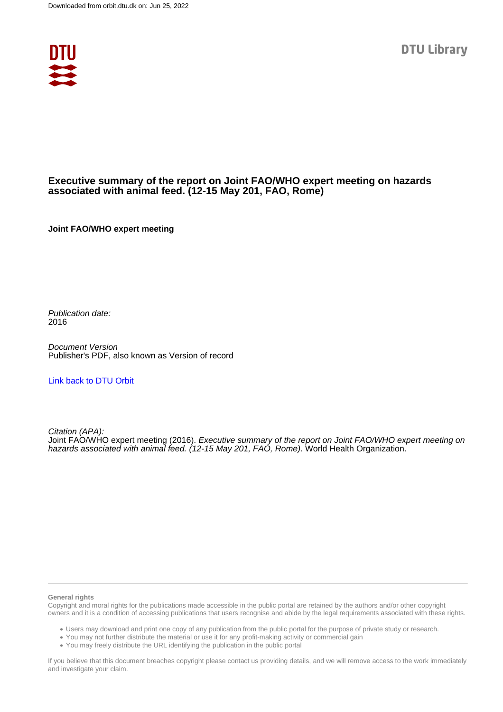

# **Executive summary of the report on Joint FAO/WHO expert meeting on hazards associated with animal feed. (12-15 May 201, FAO, Rome)**

**Joint FAO/WHO expert meeting**

Publication date: 2016

Document Version Publisher's PDF, also known as Version of record

[Link back to DTU Orbit](https://orbit.dtu.dk/en/publications/80a9e9e5-81ff-49d1-ab4c-5e9238b1c3df)

Citation (APA): Joint FAO/WHO expert meeting (2016). Executive summary of the report on Joint FAO/WHO expert meeting on hazards associated with animal feed. (12-15 May 201, FAO, Rome). World Health Organization.

#### **General rights**

Copyright and moral rights for the publications made accessible in the public portal are retained by the authors and/or other copyright owners and it is a condition of accessing publications that users recognise and abide by the legal requirements associated with these rights.

Users may download and print one copy of any publication from the public portal for the purpose of private study or research.

- You may not further distribute the material or use it for any profit-making activity or commercial gain
- You may freely distribute the URL identifying the publication in the public portal

If you believe that this document breaches copyright please contact us providing details, and we will remove access to the work immediately and investigate your claim.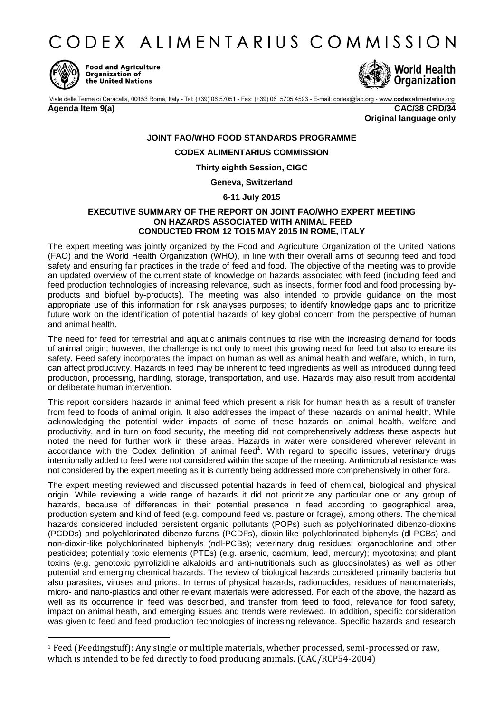CODEX ALIMENTARIUS COMMISSION



1

**Food and Agriculture** Organization of the United Nations



Viale delle Terme di Caracalla, 00153 Rome, Italy - Tel: (+39) 06 57051 - Fax: (+39) 06 5705 4593 - E-mail: codex@fao.org - www.codexalimentarius.org

**Agenda Item 9(a) CAC/38 CRD/34 Original language only**

# **JOINT FAO/WHO FOOD STANDARDS PROGRAMME**

# **CODEX ALIMENTARIUS COMMISSION**

# **Thirty eighth Session, CIGC**

## **Geneva, Switzerland**

## **6-11 July 2015**

#### **EXECUTIVE SUMMARY OF THE REPORT ON JOINT FAO/WHO EXPERT MEETING ON HAZARDS ASSOCIATED WITH ANIMAL FEED CONDUCTED FROM 12 TO15 MAY 2015 IN ROME, ITALY**

The expert meeting was jointly organized by the Food and Agriculture Organization of the United Nations (FAO) and the World Health Organization (WHO), in line with their overall aims of securing feed and food safety and ensuring fair practices in the trade of feed and food. The objective of the meeting was to provide an updated overview of the current state of knowledge on hazards associated with feed (including feed and feed production technologies of increasing relevance, such as insects, former food and food processing byproducts and biofuel by-products). The meeting was also intended to provide guidance on the most appropriate use of this information for risk analyses purposes; to identify knowledge gaps and to prioritize future work on the identification of potential hazards of key global concern from the perspective of human and animal health.

The need for feed for terrestrial and aquatic animals continues to rise with the increasing demand for foods of animal origin; however, the challenge is not only to meet this growing need for feed but also to ensure its safety. Feed safety incorporates the impact on human as well as animal health and welfare, which, in turn, can affect productivity. Hazards in feed may be inherent to feed ingredients as well as introduced during feed production, processing, handling, storage, transportation, and use. Hazards may also result from accidental or deliberate human intervention.

This report considers hazards in animal feed which present a risk for human health as a result of transfer from feed to foods of animal origin. It also addresses the impact of these hazards on animal health. While acknowledging the potential wider impacts of some of these hazards on animal health, welfare and productivity, and in turn on food security, the meeting did not comprehensively address these aspects but noted the need for further work in these areas. Hazards in water were considered wherever relevant in accordance with the Codex definition of animal feed<sup>1</sup>. With regard to specific issues, veterinary drugs intentionally added to feed were not considered within the scope of the meeting. Antimicrobial resistance was not considered by the expert meeting as it is currently being addressed more comprehensively in other fora.

The expert meeting reviewed and discussed potential hazards in feed of chemical, biological and physical origin. While reviewing a wide range of hazards it did not prioritize any particular one or any group of hazards, because of differences in their potential presence in feed according to geographical area, production system and kind of feed (e.g. compound feed vs. pasture or forage), among others. The chemical hazards considered included persistent organic pollutants (POPs) such as polychlorinated dibenzo-dioxins (PCDDs) and polychlorinated dibenzo-furans (PCDFs), dioxin-like polychlorinated biphenyls (dl-PCBs) and non-dioxin-like polychlorinated biphenyls (ndl-PCBs); veterinary drug residues; organochlorine and other pesticides; potentially toxic elements (PTEs) (e.g. arsenic, cadmium, lead, mercury); mycotoxins; and plant toxins (e.g. genotoxic pyrrolizidine alkaloids and anti-nutritionals such as glucosinolates) as well as other potential and emerging chemical hazards. The review of biological hazards considered primarily bacteria but also parasites, viruses and prions. In terms of physical hazards, radionuclides, residues of nanomaterials, micro- and nano-plastics and other relevant materials were addressed. For each of the above, the hazard as well as its occurrence in feed was described, and transfer from feed to food, relevance for food safety, impact on animal heath, and emerging issues and trends were reviewed. In addition, specific consideration was given to feed and feed production technologies of increasing relevance. Specific hazards and research

<sup>1</sup> Feed (Feedingstuff): Any single or multiple materials, whether processed, semi-processed or raw, which is intended to be fed directly to food producing animals. (CAC/RCP54-2004)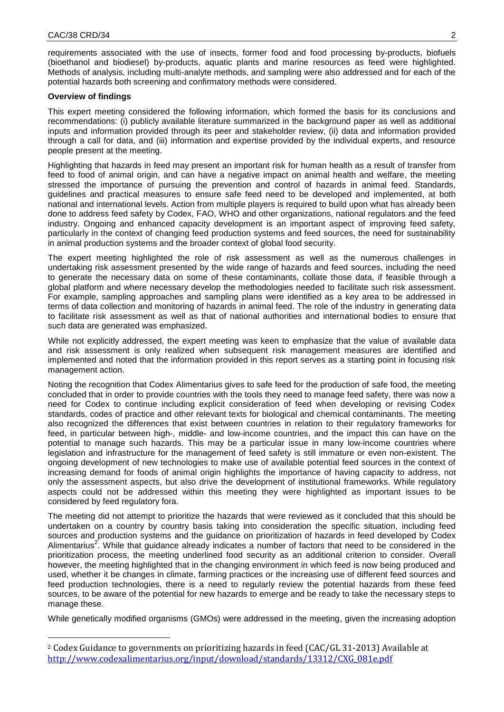requirements associated with the use of insects, former food and food processing by-products, biofuels (bioethanol and biodiesel) by-products, aquatic plants and marine resources as feed were highlighted. Methods of analysis, including multi-analyte methods, and sampling were also addressed and for each of the potential hazards both screening and confirmatory methods were considered.

#### **Overview of findings**

1

This expert meeting considered the following information, which formed the basis for its conclusions and recommendations: (i) publicly available literature summarized in the background paper as well as additional inputs and information provided through its peer and stakeholder review, (ii) data and information provided through a call for data, and (iii) information and expertise provided by the individual experts, and resource people present at the meeting.

Highlighting that hazards in feed may present an important risk for human health as a result of transfer from feed to food of animal origin, and can have a negative impact on animal health and welfare, the meeting stressed the importance of pursuing the prevention and control of hazards in animal feed. Standards, guidelines and practical measures to ensure safe feed need to be developed and implemented, at both national and international levels. Action from multiple players is required to build upon what has already been done to address feed safety by Codex, FAO, WHO and other organizations, national regulators and the feed industry. Ongoing and enhanced capacity development is an important aspect of improving feed safety, particularly in the context of changing feed production systems and feed sources, the need for sustainability in animal production systems and the broader context of global food security.

The expert meeting highlighted the role of risk assessment as well as the numerous challenges in undertaking risk assessment presented by the wide range of hazards and feed sources, including the need to generate the necessary data on some of these contaminants, collate those data, if feasible through a global platform and where necessary develop the methodologies needed to facilitate such risk assessment. For example, sampling approaches and sampling plans were identified as a key area to be addressed in terms of data collection and monitoring of hazards in animal feed. The role of the industry in generating data to facilitate risk assessment as well as that of national authorities and international bodies to ensure that such data are generated was emphasized.

While not explicitly addressed, the expert meeting was keen to emphasize that the value of available data and risk assessment is only realized when subsequent risk management measures are identified and implemented and noted that the information provided in this report serves as a starting point in focusing risk management action.

Noting the recognition that Codex Alimentarius gives to safe feed for the production of safe food, the meeting concluded that in order to provide countries with the tools they need to manage feed safety, there was now a need for Codex to continue including explicit consideration of feed when developing or revising Codex standards, codes of practice and other relevant texts for biological and chemical contaminants. The meeting also recognized the differences that exist between countries in relation to their regulatory frameworks for feed, in particular between high-, middle- and low-income countries, and the impact this can have on the potential to manage such hazards. This may be a particular issue in many low-income countries where legislation and infrastructure for the management of feed safety is still immature or even non-existent. The ongoing development of new technologies to make use of available potential feed sources in the context of increasing demand for foods of animal origin highlights the importance of having capacity to address, not only the assessment aspects, but also drive the development of institutional frameworks. While regulatory aspects could not be addressed within this meeting they were highlighted as important issues to be considered by feed regulatory fora.

The meeting did not attempt to prioritize the hazards that were reviewed as it concluded that this should be undertaken on a country by country basis taking into consideration the specific situation, including feed sources and production systems and the guidance on prioritization of hazards in feed developed by Codex Alimentarius<sup>2</sup>. While that guidance already indicates a number of factors that need to be considered in the prioritization process, the meeting underlined food security as an additional criterion to consider. Overall however, the meeting highlighted that in the changing environment in which feed is now being produced and used, whether it be changes in climate, farming practices or the increasing use of different feed sources and feed production technologies, there is a need to regularly review the potential hazards from these feed sources, to be aware of the potential for new hazards to emerge and be ready to take the necessary steps to manage these.

While genetically modified organisms (GMOs) were addressed in the meeting, given the increasing adoption

<sup>2</sup> Codex Guidance to governments on prioritizing hazards in feed (CAC/GL 31-2013) Available at [http://www.codexalimentarius.org/input/download/standards/13312/CXG\\_081e.pdf](http://www.codexalimentarius.org/input/download/standards/13312/CXG_081e.pdf)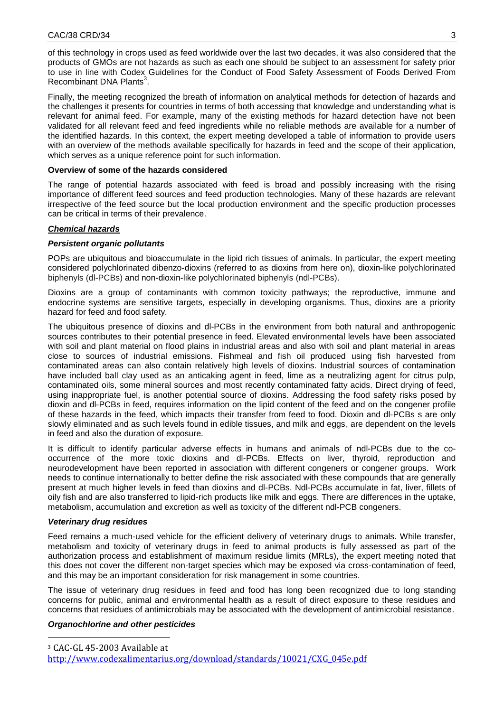of this technology in crops used as feed worldwide over the last two decades, it was also considered that the products of GMOs are not hazards as such as each one should be subject to an assessment for safety prior to use in line with Codex Guidelines for the Conduct of Food Safety Assessment of Foods Derived From Recombinant DNA Plants<sup>3</sup>.

Finally, the meeting recognized the breath of information on analytical methods for detection of hazards and the challenges it presents for countries in terms of both accessing that knowledge and understanding what is relevant for animal feed. For example, many of the existing methods for hazard detection have not been validated for all relevant feed and feed ingredients while no reliable methods are available for a number of the identified hazards. In this context, the expert meeting developed a table of information to provide users with an overview of the methods available specifically for hazards in feed and the scope of their application, which serves as a unique reference point for such information.

# **Overview of some of the hazards considered**

The range of potential hazards associated with feed is broad and possibly increasing with the rising importance of different feed sources and feed production technologies. Many of these hazards are relevant irrespective of the feed source but the local production environment and the specific production processes can be critical in terms of their prevalence.

# *Chemical hazards*

# *Persistent organic pollutants*

POPs are ubiquitous and bioaccumulate in the lipid rich tissues of animals. In particular, the expert meeting considered polychlorinated dibenzo-dioxins (referred to as dioxins from here on), dioxin-like polychlorinated biphenyls (dl-PCBs) and non-dioxin-like polychlorinated biphenyls (ndl-PCBs).

Dioxins are a group of contaminants with common toxicity pathways; the reproductive, immune and endocrine systems are sensitive targets, especially in developing organisms. Thus, dioxins are a priority hazard for feed and food safety.

The ubiquitous presence of dioxins and dl-PCBs in the environment from both natural and anthropogenic sources contributes to their potential presence in feed. Elevated environmental levels have been associated with soil and plant material on flood plains in industrial areas and also with soil and plant material in areas close to sources of industrial emissions. Fishmeal and fish oil produced using fish harvested from contaminated areas can also contain relatively high levels of dioxins. Industrial sources of contamination have included ball clay used as an anticaking agent in feed, lime as a neutralizing agent for citrus pulp, contaminated oils, some mineral sources and most recently contaminated fatty acids. Direct drying of feed, using inappropriate fuel, is another potential source of dioxins. Addressing the food safety risks posed by dioxin and dl-PCBs in feed, requires information on the lipid content of the feed and on the congener profile of these hazards in the feed, which impacts their transfer from feed to food. Dioxin and dl-PCBs s are only slowly eliminated and as such levels found in edible tissues, and milk and eggs, are dependent on the levels in feed and also the duration of exposure.

It is difficult to identify particular adverse effects in humans and animals of ndl-PCBs due to the cooccurrence of the more toxic dioxins and dl-PCBs. Effects on liver, thyroid, reproduction and neurodevelopment have been reported in association with different congeners or congener groups. Work needs to continue internationally to better define the risk associated with these compounds that are generally present at much higher levels in feed than dioxins and dl-PCBs. Ndl-PCBs accumulate in fat, liver, fillets of oily fish and are also transferred to lipid-rich products like milk and eggs. There are differences in the uptake, metabolism, accumulation and excretion as well as toxicity of the different ndl-PCB congeners.

## *Veterinary drug residues*

Feed remains a much-used vehicle for the efficient delivery of veterinary drugs to animals. While transfer, metabolism and toxicity of veterinary drugs in feed to animal products is fully assessed as part of the authorization process and establishment of maximum residue limits (MRLs), the expert meeting noted that this does not cover the different non-target species which may be exposed via cross-contamination of feed, and this may be an important consideration for risk management in some countries.

The issue of veterinary drug residues in feed and food has long been recognized due to long standing concerns for public, animal and environmental health as a result of direct exposure to these residues and concerns that residues of antimicrobials may be associated with the development of antimicrobial resistance.

# *Organochlorine and other pesticides*

1 <sup>3</sup> CAC-GL 45-2003 Available at

[http://www.codexalimentarius.org/download/standards/10021/CXG\\_045e.pdf](http://www.codexalimentarius.org/download/standards/10021/CXG_045e.pdf)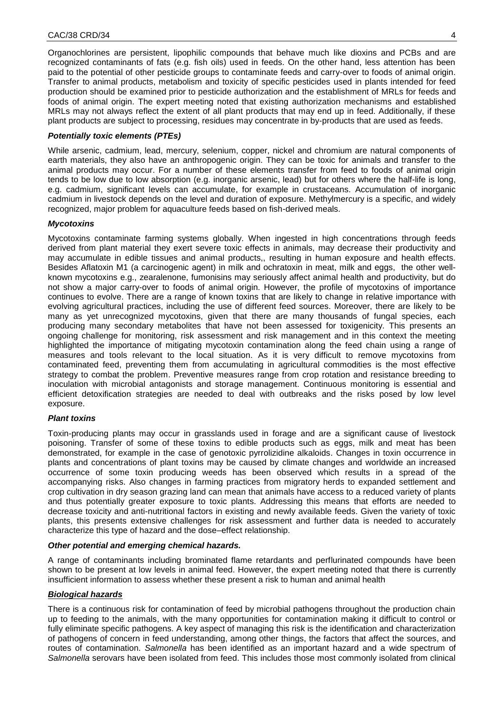Organochlorines are persistent, lipophilic compounds that behave much like dioxins and PCBs and are recognized contaminants of fats (e.g. fish oils) used in feeds. On the other hand, less attention has been paid to the potential of other pesticide groups to contaminate feeds and carry-over to foods of animal origin. Transfer to animal products, metabolism and toxicity of specific pesticides used in plants intended for feed production should be examined prior to pesticide authorization and the establishment of MRLs for feeds and foods of animal origin. The expert meeting noted that existing authorization mechanisms and established MRLs may not always reflect the extent of all plant products that may end up in feed. Additionally, if these plant products are subject to processing, residues may concentrate in by-products that are used as feeds.

# *Potentially toxic elements (PTEs)*

While arsenic, cadmium, lead, mercury, selenium, copper, nickel and chromium are natural components of earth materials, they also have an anthropogenic origin. They can be toxic for animals and transfer to the animal products may occur. For a number of these elements transfer from feed to foods of animal origin tends to be low due to low absorption (e.g. inorganic arsenic, lead) but for others where the half-life is long, e.g. cadmium, significant levels can accumulate, for example in crustaceans. Accumulation of inorganic cadmium in livestock depends on the level and duration of exposure. Methylmercury is a specific, and widely recognized, major problem for aquaculture feeds based on fish-derived meals.

# *Mycotoxins*

Mycotoxins contaminate farming systems globally. When ingested in high concentrations through feeds derived from plant material they exert severe toxic effects in animals, may decrease their productivity and may accumulate in edible tissues and animal products,, resulting in human exposure and health effects. Besides Aflatoxin M1 (a carcinogenic agent) in milk and ochratoxin in meat, milk and eggs, the other wellknown mycotoxins e.g., zearalenone, fumonisins may seriously affect animal health and productivity, but do not show a major carry-over to foods of animal origin. However, the profile of mycotoxins of importance continues to evolve. There are a range of known toxins that are likely to change in relative importance with evolving agricultural practices, including the use of different feed sources. Moreover, there are likely to be many as yet unrecognized mycotoxins, given that there are many thousands of fungal species, each producing many secondary metabolites that have not been assessed for toxigenicity. This presents an ongoing challenge for monitoring, risk assessment and risk management and in this context the meeting highlighted the importance of mitigating mycotoxin contamination along the feed chain using a range of measures and tools relevant to the local situation. As it is very difficult to remove mycotoxins from contaminated feed, preventing them from accumulating in agricultural commodities is the most effective strategy to combat the problem. Preventive measures range from crop rotation and resistance breeding to inoculation with microbial antagonists and storage management. Continuous monitoring is essential and efficient detoxification strategies are needed to deal with outbreaks and the risks posed by low level exposure.

# *Plant toxins*

Toxin-producing plants may occur in grasslands used in forage and are a significant cause of livestock poisoning. Transfer of some of these toxins to edible products such as eggs, milk and meat has been demonstrated, for example in the case of genotoxic pyrrolizidine alkaloids. Changes in toxin occurrence in plants and concentrations of plant toxins may be caused by climate changes and worldwide an increased occurrence of some toxin producing weeds has been observed which results in a spread of the accompanying risks. Also changes in farming practices from migratory herds to expanded settlement and crop cultivation in dry season grazing land can mean that animals have access to a reduced variety of plants and thus potentially greater exposure to toxic plants. Addressing this means that efforts are needed to decrease toxicity and anti-nutritional factors in existing and newly available feeds. Given the variety of toxic plants, this presents extensive challenges for risk assessment and further data is needed to accurately characterize this type of hazard and the dose–effect relationship.

# *Other potential and emerging chemical hazards.*

A range of contaminants including brominated flame retardants and perflurinated compounds have been shown to be present at low levels in animal feed. However, the expert meeting noted that there is currently insufficient information to assess whether these present a risk to human and animal health

# *Biological hazards*

There is a continuous risk for contamination of feed by microbial pathogens throughout the production chain up to feeding to the animals, with the many opportunities for contamination making it difficult to control or fully eliminate specific pathogens. A key aspect of managing this risk is the identification and characterization of pathogens of concern in feed understanding, among other things, the factors that affect the sources, and routes of contamination. *Salmonella* has been identified as an important hazard and a wide spectrum of *Salmonella* serovars have been isolated from feed. This includes those most commonly isolated from clinical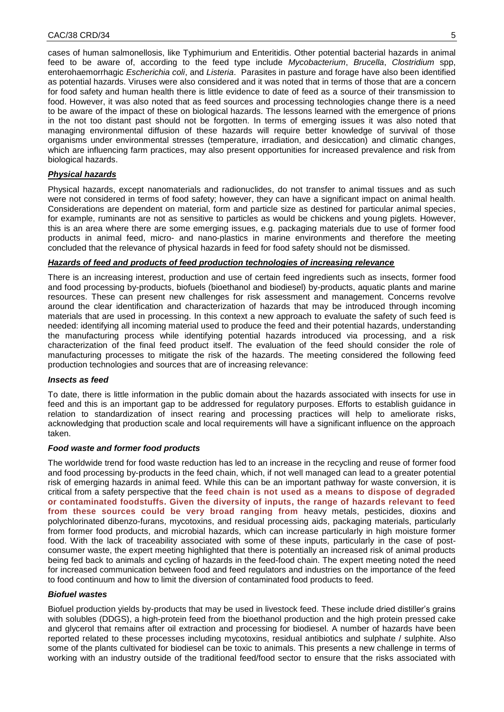cases of human salmonellosis, like Typhimurium and Enteritidis. Other potential bacterial hazards in animal feed to be aware of, according to the feed type include *Mycobacterium*, *Brucella*, *Clostridium* spp, enterohaemorrhagic *Escherichia coli*, and *Listeria*. Parasites in pasture and forage have also been identified as potential hazards. Viruses were also considered and it was noted that in terms of those that are a concern for food safety and human health there is little evidence to date of feed as a source of their transmission to food. However, it was also noted that as feed sources and processing technologies change there is a need to be aware of the impact of these on biological hazards. The lessons learned with the emergence of prions in the not too distant past should not be forgotten. In terms of emerging issues it was also noted that managing environmental diffusion of these hazards will require better knowledge of survival of those organisms under environmental stresses (temperature, irradiation, and desiccation) and climatic changes, which are influencing farm practices, may also present opportunities for increased prevalence and risk from biological hazards.

# *Physical hazards*

Physical hazards, except nanomaterials and radionuclides, do not transfer to animal tissues and as such were not considered in terms of food safety; however, they can have a significant impact on animal health. Considerations are dependent on material, form and particle size as destined for particular animal species, for example, ruminants are not as sensitive to particles as would be chickens and young piglets. However, this is an area where there are some emerging issues, e.g. packaging materials due to use of former food products in animal feed, micro- and nano-plastics in marine environments and therefore the meeting concluded that the relevance of physical hazards in feed for food safety should not be dismissed.

# *Hazards of feed and products of feed production technologies of increasing relevance*

There is an increasing interest, production and use of certain feed ingredients such as insects, former food and food processing by-products, biofuels (bioethanol and biodiesel) by-products, aquatic plants and marine resources. These can present new challenges for risk assessment and management. Concerns revolve around the clear identification and characterization of hazards that may be introduced through incoming materials that are used in processing. In this context a new approach to evaluate the safety of such feed is needed: identifying all incoming material used to produce the feed and their potential hazards, understanding the manufacturing process while identifying potential hazards introduced via processing, and a risk characterization of the final feed product itself. The evaluation of the feed should consider the role of manufacturing processes to mitigate the risk of the hazards. The meeting considered the following feed production technologies and sources that are of increasing relevance:

## *Insects as feed*

To date, there is little information in the public domain about the hazards associated with insects for use in feed and this is an important gap to be addressed for regulatory purposes. Efforts to establish guidance in relation to standardization of insect rearing and processing practices will help to ameliorate risks, acknowledging that production scale and local requirements will have a significant influence on the approach taken.

## *Food waste and former food products*

The worldwide trend for food waste reduction has led to an increase in the recycling and reuse of former food and food processing by-products in the feed chain, which, if not well managed can lead to a greater potential risk of emerging hazards in animal feed. While this can be an important pathway for waste conversion, it is critical from a safety perspective that the **feed chain is not used as a means to dispose of degraded or contaminated foodstuffs. Given the diversity of inputs, the range of hazards relevant to feed from these sources could be very broad ranging from** heavy metals, pesticides, dioxins and polychlorinated dibenzo-furans, mycotoxins, and residual processing aids, packaging materials, particularly from former food products, and microbial hazards, which can increase particularly in high moisture former food. With the lack of traceability associated with some of these inputs, particularly in the case of postconsumer waste, the expert meeting highlighted that there is potentially an increased risk of animal products being fed back to animals and cycling of hazards in the feed-food chain. The expert meeting noted the need for increased communication between food and feed regulators and industries on the importance of the feed to food continuum and how to limit the diversion of contaminated food products to feed.

# *Biofuel wastes*

Biofuel production yields by-products that may be used in livestock feed. These include dried distiller's grains with solubles (DDGS), a high-protein feed from the bioethanol production and the high protein pressed cake and glycerol that remains after oil extraction and processing for biodiesel. A number of hazards have been reported related to these processes including mycotoxins, residual antibiotics and sulphate / sulphite. Also some of the plants cultivated for biodiesel can be toxic to animals. This presents a new challenge in terms of working with an industry outside of the traditional feed/food sector to ensure that the risks associated with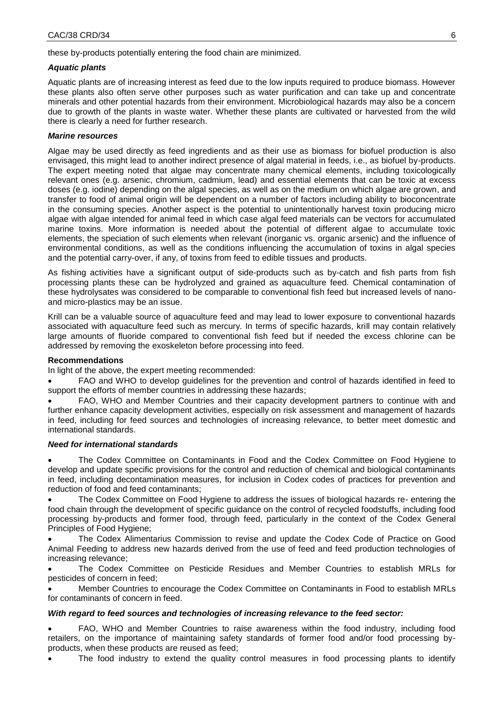these by-products potentially entering the food chain are minimized.

#### *Aquatic plants*

Aquatic plants are of increasing interest as feed due to the low inputs required to produce biomass. However these plants also often serve other purposes such as water purification and can take up and concentrate minerals and other potential hazards from their environment. Microbiological hazards may also be a concern due to growth of the plants in waste water. Whether these plants are cultivated or harvested from the wild there is clearly a need for further research.

# *Marine resources*

Algae may be used directly as feed ingredients and as their use as biomass for biofuel production is also envisaged, this might lead to another indirect presence of algal material in feeds, i.e., as biofuel by-products. The expert meeting noted that algae may concentrate many chemical elements, including toxicologically relevant ones (e.g. arsenic, chromium, cadmium, lead) and essential elements that can be toxic at excess doses (e.g. iodine) depending on the algal species, as well as on the medium on which algae are grown, and transfer to food of animal origin will be dependent on a number of factors including ability to bioconcentrate in the consuming species. Another aspect is the potential to unintentionally harvest toxin producing micro algae with algae intended for animal feed in which case algal feed materials can be vectors for accumulated marine toxins. More information is needed about the potential of different algae to accumulate toxic elements, the speciation of such elements when relevant (inorganic vs. organic arsenic) and the influence of environmental conditions, as well as the conditions influencing the accumulation of toxins in algal species and the potential carry-over, if any, of toxins from feed to edible tissues and products.

As fishing activities have a significant output of side-products such as by-catch and fish parts from fish processing plants these can be hydrolyzed and grained as aquaculture feed. Chemical contamination of these hydrolysates was considered to be comparable to conventional fish feed but increased levels of nanoand micro-plastics may be an issue.

Krill can be a valuable source of aquaculture feed and may lead to lower exposure to conventional hazards associated with aquaculture feed such as mercury. In terms of specific hazards, krill may contain relatively large amounts of fluoride compared to conventional fish feed but if needed the excess chlorine can be addressed by removing the exoskeleton before processing into feed.

## **Recommendations**

In light of the above, the expert meeting recommended:

 FAO and WHO to develop guidelines for the prevention and control of hazards identified in feed to support the efforts of member countries in addressing these hazards;

 FAO, WHO and Member Countries and their capacity development partners to continue with and further enhance capacity development activities, especially on risk assessment and management of hazards in feed, including for feed sources and technologies of increasing relevance*,* to better meet domestic and international standards.

#### *Need for international standards*

 The Codex Committee on Contaminants in Food and the Codex Committee on Food Hygiene to develop and update specific provisions for the control and reduction of chemical and biological contaminants in feed, including decontamination measures, for inclusion in Codex codes of practices for prevention and reduction of food and feed contaminants;

 The Codex Committee on Food Hygiene to address the issues of biological hazards re- entering the food chain through the development of specific guidance on the control of recycled foodstuffs, including food processing by-products and former food, through feed, particularly in the context of the Codex General Principles of Food Hygiene;

 The Codex Alimentarius Commission to revise and update the Codex Code of Practice on Good Animal Feeding to address new hazards derived from the use of feed and feed production technologies of increasing relevance;

 The Codex Committee on Pesticide Residues and Member Countries to establish MRLs for pesticides of concern in feed;

 Member Countries to encourage the Codex Committee on Contaminants in Food to establish MRLs for contaminants of concern in feed.

## *With regard to feed sources and technologies of increasing relevance to the feed sector:*

 FAO, WHO and Member Countries to raise awareness within the food industry, including food retailers, on the importance of maintaining safety standards of former food and/or food processing byproducts, when these products are reused as feed;

The food industry to extend the quality control measures in food processing plants to identify